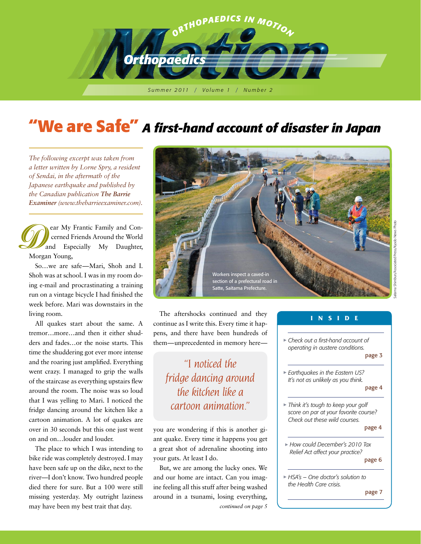

## **"We are Safe"**  *A first-hand account of disaster in Japan*

*The following excerpt was taken from a letter written by Lorne Spry, a resident of Sendai, in the aftermath of the Japanese earthquake and published by the Canadian publication The Barrie Examiner (www.thebarrieexaminer.com).*

 ear My Frantic Family and Con cerned Friends Around the World and Especially My Daughter, Morgan Young,

So…we are safe—Mari, Shoh and I. Morgan Young,<br>So...we are safe—Mari, Shoh and I.<br>Shoh was at school. I was in my room doing e-mail and procrastinating a training run on a vintage bicycle I had finished the week before. Mari was downstairs in the living room.

All quakes start about the same. A tremor…more…and then it either shudders and fades…or the noise starts. This time the shuddering got ever more intense and the roaring just amplified. Everything went crazy. I managed to grip the walls of the staircase as everything upstairs flew around the room. The noise was so loud that I was yelling to Mari. I noticed the fridge dancing around the kitchen like a cartoon animation. A lot of quakes are over in 30 seconds but this one just went on and on…louder and louder.

The place to which I was intending to bike ride was completely destroyed. I may have been safe up on the dike, next to the river—I don't know. Two hundred people died there for sure. But a 100 were still missing yesterday. My outright laziness may have been my best trait that day. *continued on page 5*



Saitama Shimbun/Associated Press/Kyodo News Photo

The aftershocks continued and they continue as I write this. Every time it happens, and there have been hundreds of them—unprecedented in memory here—

*"I noticed the fridge dancing around the kitchen like a cartoon animation."*

you are wondering if this is another giant quake. Every time it happens you get a great shot of adrenaline shooting into your guts. At least I do.

But, we are among the lucky ones. We and our home are intact. Can you imagine feeling all this stuff after being washed around in a tsunami, losing everything,

#### w *Check out a first-hand account of operating in austere conditions.* page 3 w *Earthquakes in the Eastern US? It's not as unlikely as you think.*  page 4 w *Think it's tough to keep your golf score on par at your favorite course? Check out these wild courses.* page 4 w *How could December's 2010 Tax Relief Act affect your practice?* page 6 w *HSA's – One doctor's solution to the Health Care crisis.* **I N S I D E**

page 7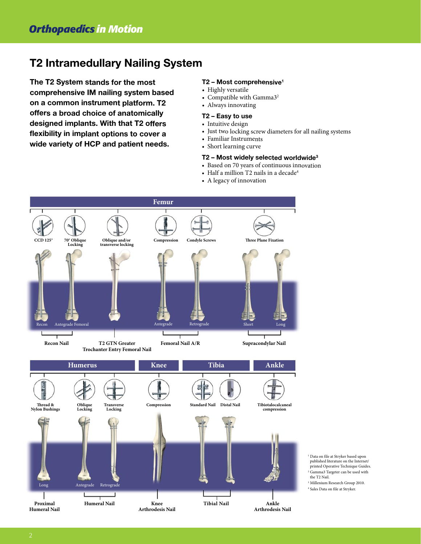### **T2 Intramedullary Nailing System**

**The T2 System stands for the most comprehensive IM nailing system based on <sup>a</sup> common instrument platform. T2 offers <sup>a</sup> broad choice of anatomically designed implants. With that T2 offers flexibility in implant options to cover <sup>a</sup> wide variety of HCP and patient needs.**

#### **T2 – Most comprehensive<sup>1</sup>**

- Highly versatile
- Compatible with Gamma $3^2$
- Always innovating

#### **T2 – Easy to use**

- Intuitive design
- Just two locking screw diameters for all nailing systems
- Familiar Instruments
- Short learning curve

#### **T2 – Most widely selected worldwide<sup>3</sup>**

- Based on <sup>70</sup> years of continuous innovation
- Half a million T2 nails in a decade $^4$
- <sup>A</sup> legacy of innovation



<sup>1</sup> Data on file at Stryker based upon published literature on the Internet/ printed Operative Technique Guides. <sup>2</sup> Gamma3 Targeter can be used with the T2 Nail.

<sup>3</sup> Millenium Research Group 2010.

<sup>4</sup> Sales Data on file at Stryker.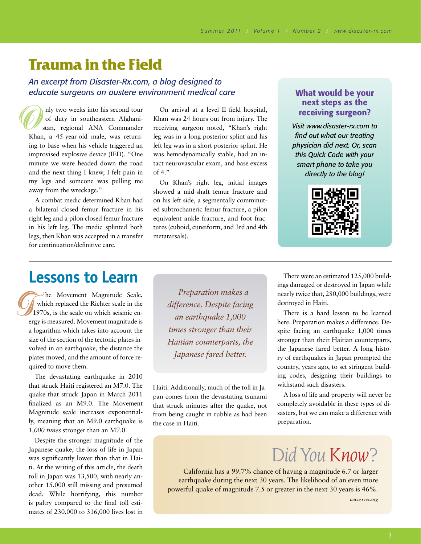## **Trauma in the Field**

*An excerpt from Disaster-Rx.com, a blog designed to educate surgeons on austere environment medical care* 

 nly two weeks into his second tour of duty in southeastern Afghani stan, regional ANA Commander Khan, a 45-year-old male, was returning to base when his vehicle triggered an improvised explosive device (IED). "One minute we were headed down the road and the next thing I knew, I felt pain in my legs and someone was pulling me away from the wreckage." Khar<br>
ing to<br>
impr

A combat medic determined Khan had a bilateral closed femur fracture in his right leg and a pilon closed femur fracture in his left leg. The medic splinted both legs, then Khan was accepted in a transfer for continuation/definitive care.

On arrival at a level II field hospital, Khan was 24 hours out from injury. The receiving surgeon noted, "Khan's right leg was in a long posterior splint and his left leg was in a short posterior splint. He was hemodynamically stable, had an intact neurovascular exam, and base excess of 4."

On Khan's right leg, initial images showed a mid-shaft femur fracture and on his left side, a segmentally comminuted subtrochaneric femur fracture, a pilon equivalent ankle fracture, and foot fractures (cuboid, cuneiform, and 3rd and 4th metatarsals).

#### What would be your next steps as the receiving surgeon?

*Visit www.disaster-rx.com to find out what our treating physician did next. Or, scan this Quick Code with your smart phone to take you directly to the blog!*



### **Lessons to Learn**

 he Movement Magnitude Scale, which replaced the Richter scale in the 1970s, is the scale on which seismic energy is measured. Movement magnitude is a logarithm which takes into account the size of the section of the tectonic plates involved in an earthquake, the distance the plates moved, and the amount of force required to move them. erg<br>a l<br>siz<br>x

> The devastating earthquake in 2010 that struck Haiti registered an M7.0. The quake that struck Japan in March 2011 finalized as an M9.0. The Movement Magnitude scale increases exponentially, meaning that an M9.0 earthquake is *1,000 times* stronger than an M7.0.

> Despite the stronger magnitude of the Japanese quake, the loss of life in Japan was significantly lower than that in Haiti. At the writing of this article, the death toll in Japan was 13,500, with nearly another 15,000 still missing and presumed dead. While horrifying, this number is paltry compared to the final toll estimates of 230,000 to 316,000 lives lost in

*Preparation makes a difference. Despite facing an earthquake 1,000 times stronger than their Haitian counterparts, the Japanese fared better.*

Haiti. Additionally, much of the toll in Japan comes from the devastating tsunami that struck minutes after the quake, not from being caught in rubble as had been the case in Haiti.

There were an estimated 125,000 buildings damaged or destroyed in Japan while nearly twice that, 280,000 buildings, were destroyed in Haiti.

There is a hard lesson to be learned here. Preparation makes a difference. Despite facing an earthquake 1,000 times stronger than their Haitian counterparts, the Japanese fared better. A long history of earthquakes in Japan prompted the country, years ago, to set stringent building codes, designing their buildings to withstand such disasters.

A loss of life and property will never be completely avoidable in these types of disasters, but we can make a difference with preparation.

# *DidYouKnow?*

California has a 99.7% chance of having a magnitude 6.7 or larger earthquake during the next 30 years. The likelihood of an even more powerful quake of magnitude 7.5 or greater in the next 30 years is 46%.

*www.scec.org*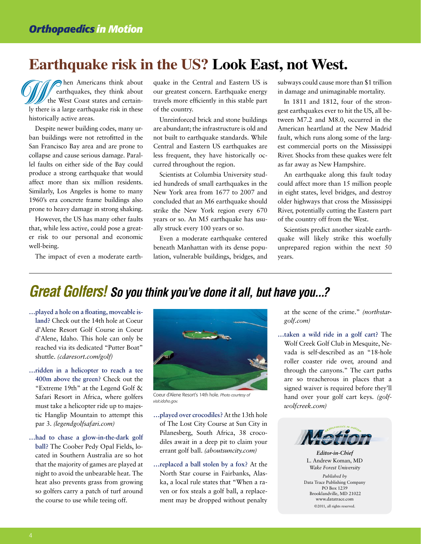## **Earthquake risk in the US? Look East, not West.**

hen Americans think about earthquakes, they think about the West Coast states and certainly there is a large earthquake risk in these historically active areas. t<br>
ly there<br>
historic<br>
Despi

Despite newer building codes, many urban buildings were not retrofitted in the San Francisco Bay area and are prone to collapse and cause serious damage. Parallel faults on either side of the Bay could produce a strong earthquake that would affect more than six million residents. Similarly, Los Angeles is home to many 1960's era concrete frame buildings also prone to heavy damage in strong shaking.

However, the US has many other faults that, while less active, could pose a greater risk to our personal and economic well-being.

The impact of even a moderate earth-

quake in the Central and Eastern US is our greatest concern. Earthquake energy travels more efficiently in this stable part of the country.

Unreinforced brick and stone buildings are abundant; the infrastructure is old and not built to earthquake standards. While Central and Eastern US earthquakes are less frequent, they have historically occurred throughout the region.

Scientists at Columbia University studied hundreds of small earthquakes in the New York area from 1677 to 2007 and concluded that an M6 earthquake should strike the New York region every 670 years or so. An M5 earthquake has usually struck every 100 years or so.

Even a moderate earthquake centered beneath Manhattan with its dense population, vulnerable buildings, bridges, and subways could cause more than \$1 trillion in damage and unimaginable mortality.

In 1811 and 1812, four of the strongest earthquakes ever to hit the US, all between M7.2 and M8.0, occurred in the American heartland at the New Madrid fault, which runs along some of the largest commercial ports on the Mississippi River. Shocks from these quakes were felt as far away as New Hampshire.

An earthquake along this fault today could affect more than 15 million people in eight states, level bridges, and destroy older highways that cross the Mississippi River, potentially cutting the Eastern part of the country off from the West.

Scientists predict another sizable earthquake will likely strike this woefully unprepared region within the next 50 years.

### *Great Golfers! So you think you've done it all, but have you...?*

- **…played a hole on a floating, moveable island?** Check out the 14th hole at Coeur d'Alene Resort Golf Course in Coeur d'Alene, Idaho. This hole can only be reached via its dedicated "Putter Boat" shuttle. *(cdaresort.com/golf)*
- **…ridden in a helicopter to reach a tee 400m above the green?** Check out the "Extreme 19th" at the Legend Golf & Safari Resort in Africa, where golfers must take a helicopter ride up to majestic Hanglip Mountain to attempt this par 3. *(legendgolfsafari.com)*
- **…had to chase a glow-in-the-dark golf ball?** The Coober Pedy Opal Fields, located in Southern Australia are so hot that the majority of games are played at night to avoid the unbearable heat. The heat also prevents grass from growing so golfers carry a patch of turf around the course to use while teeing off.



Coeur d'Alene Resort's 14th hole. *Photo courtesy of visit.idaho.gov.*

- **…played over crocodiles?** At the 13th hole of The Lost City Course at Sun City in Pilanesberg, South Africa, 38 crocodiles await in a deep pit to claim your errant golf ball. *(aboutsuncity.com)*
- **…replaced a ball stolen by a fox?** At the North Star course in Fairbanks, Alaska, a local rule states that "When a raven or fox steals a golf ball, a replacement may be dropped without penalty

at the scene of the crime." *(northstargolf.com)*

**…taken a wild ride in a golf cart?** The Wolf Creek Golf Club in Mesquite, Nevada is self-described as an "18-hole roller coaster ride over, around and through the canyons." The cart paths are so treacherous in places that a signed waiver is required before they'll hand over your golf cart keys. *(golfwolfcreek.com)*



*Editor-in-Chief* L. Andrew Koman, MD *Wake Forest University*

*Published by*  Data Trace Publishing Company PO Box 1239 Brooklandville, MD 21022 www.datatrace.com ©2011, all rights reserved.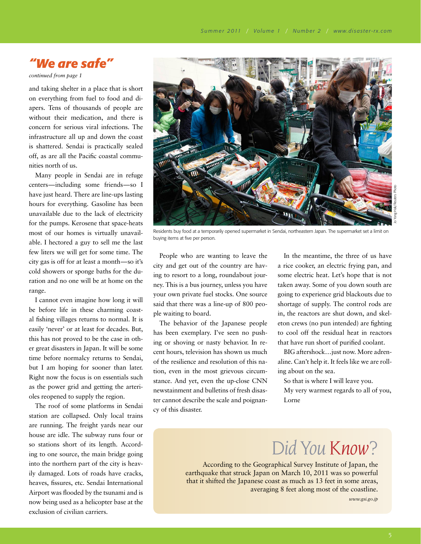### *"We are safe"*

*continued from page 1*

and taking shelter in a place that is short on everything from fuel to food and diapers. Tens of thousands of people are without their medication, and there is concern for serious viral infections. The infrastructure all up and down the coast is shattered. Sendai is practically sealed off, as are all the Pacific coastal communities north of us.

Many people in Sendai are in refuge centers—including some friends—so I have just heard. There are line-ups lasting hours for everything. Gasoline has been unavailable due to the lack of electricity for the pumps. Kerosene that space-heats most of our homes is virtually unavailable. I hectored a guy to sell me the last few liters we will get for some time. The city gas is off for at least a month—so it's cold showers or sponge baths for the duration and no one will be at home on the range.

I cannot even imagine how long it will be before life in these charming coastal fishing villages returns to normal. It is easily 'never' or at least for decades. But, this has not proved to be the case in other great disasters in Japan. It will be some time before normalcy returns to Sendai, but I am hoping for sooner than later. Right now the focus is on essentials such as the power grid and getting the arterioles reopened to supply the region.

The roof of some platforms in Sendai station are collapsed. Only local trains are running. The freight yards near our house are idle. The subway runs four or so stations short of its length. According to one source, the main bridge going into the northern part of the city is heavily damaged. Lots of roads have cracks, heaves, fissures, etc. Sendai International Airport was flooded by the tsunami and is now being used as a helicopter base at the exclusion of civilian carriers.



Residents buy food at a temporarily opened supermarket in Sendai, northeastern Japan. The supermarket set a limit on buying items at five per person.

People who are wanting to leave the city and get out of the country are having to resort to a long, roundabout journey. This is a bus journey, unless you have your own private fuel stocks. One source said that there was a line-up of 800 people waiting to board.

The behavior of the Japanese people has been exemplary. I've seen no pushing or shoving or nasty behavior. In recent hours, television has shown us much of the resilience and resolution of this nation, even in the most grievous circumstance. And yet, even the up-close CNN newstainment and bulletins of fresh disaster cannot describe the scale and poignancy of this disaster.

In the meantime, the three of us have a rice cooker, an electric frying pan, and some electric heat. Let's hope that is not taken away. Some of you down south are going to experience grid blackouts due to shortage of supply. The control rods are in, the reactors are shut down, and skeleton crews (no pun intended) are fighting to cool off the residual heat in reactors that have run short of purified coolant.

BIG aftershock…just now. More adrenaline. Can't help it. It feels like we are rolling about on the sea.

So that is where I will leave you. My very warmest regards to all of you, Lorne

## *DidYouKnow?*

According to the Geographical Survey Institute of Japan, the earthquake that struck Japan on March 10, 2011 was so powerful that it shifted the Japanese coast as much as 13 feet in some areas, averaging 8 feet along most of the coastline.

*www.gsi.go.jp*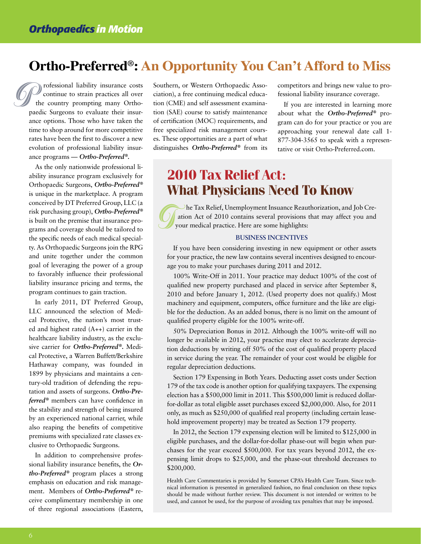### **Ortho-Preferred®: An Opportunity You Can't Afford to Miss**

 rofessional liability insurance costs continue to strain practices all over the country prompting many Orthopaedic Surgeons to evaluate their insurance options. Those who have taken the time to shop around for more competitive rates have been the first to discover a new evolution of professional liability insurance programs — *Ortho-Preferred®.* Professional liability insurance costs<br>
continue to strain practices all over<br>
the country prompting many Ortho-<br>
tion (CME) and self assessment examina-<br>
pacic Surgeons to evaluate their insur-<br>
tion (SAE) course to satis

As the only nationwide professional liability insurance program exclusively for Orthopaedic Surgeons, *Ortho-Preferred®* is unique in the marketplace. A program conceived by DT Preferred Group, LLC (a risk purchasing group), *Ortho-Preferred®* is built on the premise that insurance programs and coverage should be tailored to the specific needs of each medical specialty. As Orthopaedic Surgeons join the RPG and unite together under the common goal of leveraging the power of a group to favorably influence their professional liability insurance pricing and terms, the program continues to gain traction.

In early 2011, DT Preferred Group, LLC announced the selection of Medical Protective, the nation's most trusted and highest rated (A++) carrier in the healthcare liability industry, as the exclusive carrier for *Ortho-Preferred®***.** Medical Protective, a Warren Buffett/Berkshire Hathaway company, was founded in 1899 by physicians and maintains a century-old tradition of defending the reputation and assets of surgeons. *Ortho-Preferred®* members can have confidence in the stability and strength of being insured by an experienced national carrier, while also reaping the benefits of competitive premiums with specialized rate classes exclusive to Orthopaedic Surgeons.

In addition to comprehensive professional liability insurance benefits, the *Ortho-Preferred®* program places a strong emphasis on education and risk management. Members of *Ortho-Preferred®* receive complimentary membership in one of three regional associations (Eastern,

ciation), a free continuing medical education (CME) and self assessment examination (SAE) course to satisfy maintenance of certification (MOC) requirements, and free specialized risk management courses. These opportunities are a part of what distinguishes *Ortho-Preferred®* from its competitors and brings new value to professional liability insurance coverage.

If you are interested in learning more about what the *Ortho-Preferred®* program can do for your practice or you are approaching your renewal date call 1- 877-304-3565 to speak with a representative or visit Ortho-Preferred.com.

### **2010 Tax Relief Act: What Physicians Need To Know**

 he Tax Relief, Unemployment Insuance Reauthorization, and Job Cre ation Act of 2010 contains several provisions that may affect you and your medical practice. Here are some highlights:

#### **Business Incentives**

If you have been considering investing in new equipment or other assets for your practice, the new law contains several incentives designed to encourage you to make your purchases during 2011 and 2012. T

100% Write-Off in 2011. Your practice may deduct 100% of the cost of qualified new property purchased and placed in service after September 8, 2010 and before January 1, 2012. (Used property does not qualify.) Most machinery and equipment, computers, office furniture and the like are eligible for the deduction. As an added bonus, there is no limit on the amount of qualified property eligible for the 100% write-off.

50% Depreciation Bonus in 2012. Although the 100% write-off will no longer be available in 2012, your practice may elect to accelerate depreciation deductions by writing off 50% of the cost of qualified property placed in service during the year. The remainder of your cost would be eligible for regular depreciation deductions.

Section 179 Expensing in Both Years. Deducting asset costs under Section 179 of the tax code is another option for qualifying taxpayers. The expensing election has a \$500,000 limit in 2011. This \$500,000 limit is reduced dollarfor-dollar as total eligible asset purchases exceed \$2,000,000. Also, for 2011 only, as much as \$250,000 of qualified real property (including certain leasehold improvement property) may be treated as Section 179 property.

In 2012, the Section 179 expensing election will be limited to \$125,000 in eligible purchases, and the dollar-for-dollar phase-out will begin when purchases for the year exceed \$500,000. For tax years beyond 2012, the expensing limit drops to \$25,000, and the phase-out threshold decreases to \$200,000.

Health Care Commentaries is provided by Somerset CPA's Health Care Team. Since technical information is presented in generalized fashion, no final conclusion on these topics should be made without further review. This document is not intended or written to be used, and cannot be used, for the purpose of avoiding tax penalties that may be imposed.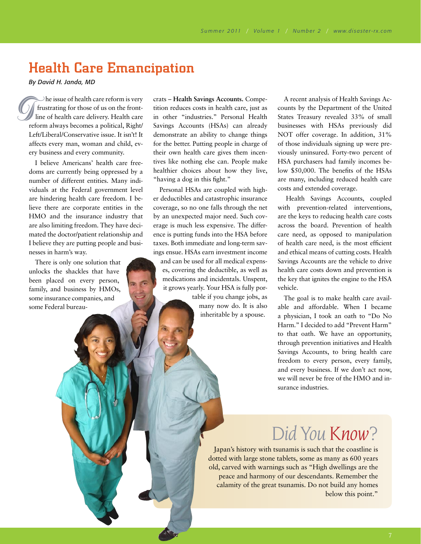## Health Care Emancipation

*By David H. Janda, MD*

 he issue of health care reform is very frustrating for those of us on the frontline of health care delivery. Health care reform always becomes a political, Right/ Left/Liberal/Conservative issue. It isn't! It affects every man, woman and child, every business and every community. The issue of health care reform is very<br>
frustrating for those of us on the front-<br>
line of health care delivery. Health care<br>
in other "industries." Personal Health<br>
reform always becomes a political, Right/<br>
Left/Liberal

I believe Americans' health care freedoms are currently being oppressed by a number of different entities. Many individuals at the Federal government level are hindering health care freedom. I believe there are corporate entities in the HMO and the insurance industry that are also limiting freedom. They have decimated the doctor/patient relationship and I believe they are putting people and businesses in harm's way.

There is only one solution that unlocks the shackles that have been placed on every person, family, and business by HMOs, some insurance companies, and some Federal bureautition reduces costs in health care, just as in other "industries." Personal Health Savings Accounts (HSAs) can already demonstrate an ability to change things for the better. Putting people in charge of their own health care gives them incentives like nothing else can. People make healthier choices about how they live, "having a dog in this fight."

Personal HSAs are coupled with higher deductibles and catastrophic insurance coverage, so no one falls through the net by an unexpected major need. Such coverage is much less expensive. The difference is putting funds into the HSA before taxes. Both immediate and long-term savings ensue. HSAs earn investment income and can be used for all medical expenses, covering the deductible, as well as medications and incidentals. Unspent, it grows yearly. Your HSA is fully portable if you change jobs, as

many now do. It is also inheritable by a spouse.

A recent analysis of Health Savings Accounts by the Department of the United States Treasury revealed 33% of small businesses with HSAs previously did NOT offer coverage. In addition, 31% of those individuals signing up were previously uninsured. Forty-two percent of HSA purchasers had family incomes below \$50,000. The benefits of the HSAs are many, including reduced health care costs and extended coverage.

Health Savings Accounts, coupled with prevention-related interventions, are the keys to reducing health care costs across the board. Prevention of health care need, as opposed to manipulation of health care need, is the most efficient and ethical means of cutting costs. Health Savings Accounts are the vehicle to drive health care costs down and prevention is the key that ignites the engine to the HSA vehicle.

The goal is to make health care available and affordable. When I became a physician, I took an oath to "Do No Harm." I decided to add "Prevent Harm" to that oath. We have an opportunity, through prevention initiatives and Health Savings Accounts, to bring health care freedom to every person, every family, and every business. If we don't act now, we will never be free of the HMO and insurance industries.

## *DidYouKnow?*

Japan's history with tsunamis is such that the coastline is dotted with large stone tablets, some as many as 600 years old, carved with warnings such as "High dwellings are the peace and harmony of our descendants. Remember the calamity of the great tsunamis. Do not build any homes below this point."